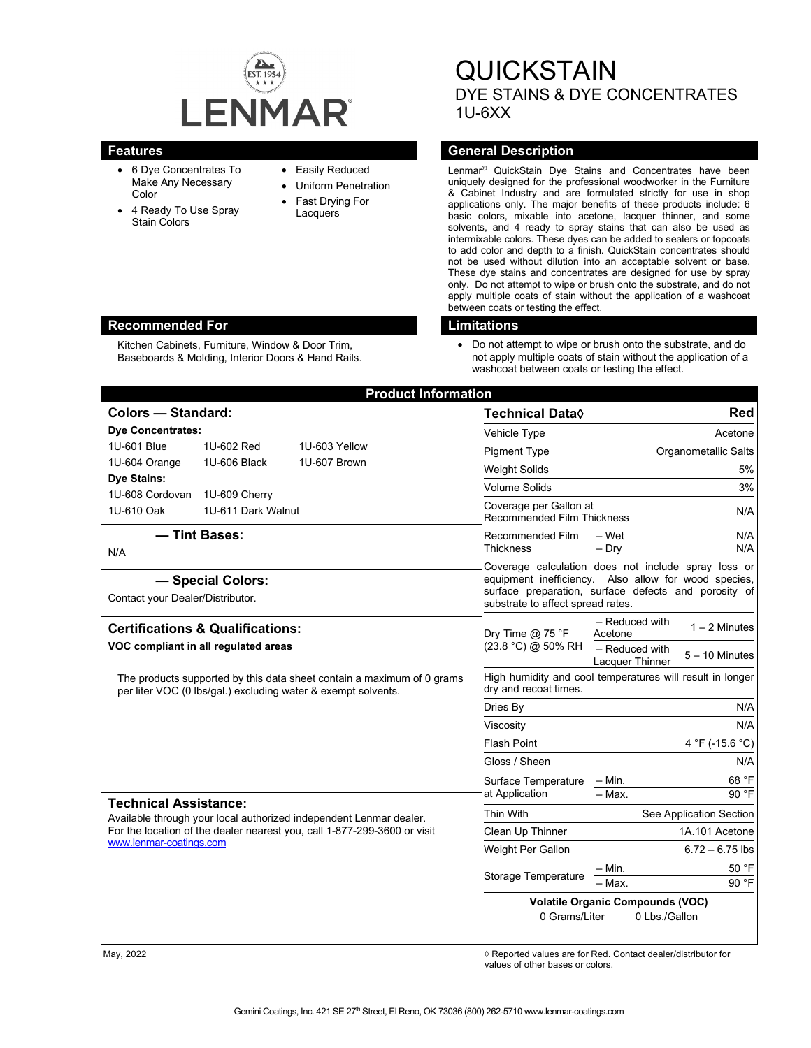

Kitchen Cabinets, Furniture, Window & Door Trim, Baseboards & Molding, Interior Doors & Hand Rails.

- 6 Dye Concentrates To Make Any Necessary Color
- 4 Ready To Use Spray Stain Colors

## • Easily Reduced

- Uniform Penetration
- Fast Drying For Lacquers

**QUICKSTAIN** DYE STAINS & DYE CONCENTRATES 1U-6XX

## **Features General Description**

Lenmar® QuickStain Dye Stains and Concentrates have been uniquely designed for the professional woodworker in the Furniture & Cabinet Industry and are formulated strictly for use in shop applications only. The major benefits of these products include: 6 basic colors, mixable into acetone, lacquer thinner, and some solvents, and 4 ready to spray stains that can also be used as intermixable colors. These dyes can be added to sealers or topcoats to add color and depth to a finish. QuickStain concentrates should not be used without dilution into an acceptable solvent or base. These dye stains and concentrates are designed for use by spray only. Do not attempt to wipe or brush onto the substrate, and do not apply multiple coats of stain without the application of a washcoat between coats or testing the effect.

#### **Recommended For Limitations**

• Do not attempt to wipe or brush onto the substrate, and do not apply multiple coats of stain without the application of a washcoat between coats or testing the effect.

| <b>Product Information</b>                                                                                                                                                                                |                                     |               |                                                                                                                                                                                                          |                                                                                                       |
|-----------------------------------------------------------------------------------------------------------------------------------------------------------------------------------------------------------|-------------------------------------|---------------|----------------------------------------------------------------------------------------------------------------------------------------------------------------------------------------------------------|-------------------------------------------------------------------------------------------------------|
| <b>Colors - Standard:</b>                                                                                                                                                                                 |                                     |               | <b>Technical Data</b> ♦                                                                                                                                                                                  | Red                                                                                                   |
| <b>Dye Concentrates:</b>                                                                                                                                                                                  |                                     |               | Vehicle Type                                                                                                                                                                                             | Acetone                                                                                               |
| 1U-601 Blue                                                                                                                                                                                               | 1U-602 Red                          | 1U-603 Yellow | <b>Pigment Type</b>                                                                                                                                                                                      | <b>Organometallic Salts</b>                                                                           |
| 1U-604 Orange                                                                                                                                                                                             | 1U-606 Black                        | 1U-607 Brown  | <b>Weight Solids</b>                                                                                                                                                                                     | 5%                                                                                                    |
| <b>Dye Stains:</b>                                                                                                                                                                                        |                                     |               | <b>Volume Solids</b>                                                                                                                                                                                     | 3%                                                                                                    |
| 1U-608 Cordovan<br>1U-610 Oak                                                                                                                                                                             | 1U-609 Cherry<br>1U-611 Dark Walnut |               | Coverage per Gallon at<br><b>Recommended Film Thickness</b>                                                                                                                                              | N/A                                                                                                   |
| - Tint Bases:<br>N/A                                                                                                                                                                                      |                                     |               | Recommended Film<br><b>Thickness</b>                                                                                                                                                                     | - Wet<br>N/A<br>$-$ Dry<br>N/A                                                                        |
| - Special Colors:<br>Contact your Dealer/Distributor.                                                                                                                                                     |                                     |               | Coverage calculation does not include spray loss or<br>equipment inefficiency. Also allow for wood species,<br>surface preparation, surface defects and porosity of<br>substrate to affect spread rates. |                                                                                                       |
| <b>Certifications &amp; Qualifications:</b><br>VOC compliant in all regulated areas                                                                                                                       |                                     |               | Dry Time $@$ 75 °F<br>(23.8 °C) @ 50% RH                                                                                                                                                                 | - Reduced with<br>$1 - 2$ Minutes<br>Acetone<br>- Reduced with<br>$5 - 10$ Minutes<br>Lacquer Thinner |
| The products supported by this data sheet contain a maximum of 0 grams<br>per liter VOC (0 lbs/gal.) excluding water & exempt solvents.                                                                   |                                     |               | dry and recoat times.                                                                                                                                                                                    | High humidity and cool temperatures will result in longer                                             |
|                                                                                                                                                                                                           |                                     |               | Dries By                                                                                                                                                                                                 | N/A                                                                                                   |
|                                                                                                                                                                                                           |                                     |               | Viscosity                                                                                                                                                                                                | N/A                                                                                                   |
|                                                                                                                                                                                                           |                                     |               | <b>Flash Point</b>                                                                                                                                                                                       | 4 °F (-15.6 °C)                                                                                       |
|                                                                                                                                                                                                           |                                     |               | Gloss / Sheen                                                                                                                                                                                            | N/A                                                                                                   |
|                                                                                                                                                                                                           |                                     |               | Surface Temperature<br>at Application                                                                                                                                                                    | 68 °F<br>– Min.<br>$-$ Max.<br>90 °F                                                                  |
| <b>Technical Assistance:</b><br>Available through your local authorized independent Lenmar dealer.<br>For the location of the dealer nearest you, call 1-877-299-3600 or visit<br>www.lenmar-coatings.com |                                     |               | Thin With                                                                                                                                                                                                | See Application Section                                                                               |
|                                                                                                                                                                                                           |                                     |               | Clean Up Thinner                                                                                                                                                                                         | 1A.101 Acetone                                                                                        |
|                                                                                                                                                                                                           |                                     |               | Weight Per Gallon                                                                                                                                                                                        | $6.72 - 6.75$ lbs                                                                                     |
|                                                                                                                                                                                                           |                                     |               | <b>Storage Temperature</b>                                                                                                                                                                               | 50 °F<br>$-$ Min.                                                                                     |
|                                                                                                                                                                                                           |                                     |               |                                                                                                                                                                                                          | 90 °F<br>$-$ Max.                                                                                     |
|                                                                                                                                                                                                           |                                     |               | <b>Volatile Organic Compounds (VOC)</b><br>0 Grams/Liter<br>0 Lbs./Gallon                                                                                                                                |                                                                                                       |

May, 2022 *May, 2022 Reported values are for Red. Contact dealer/distributor for Red. Contact dealer/distributor for Red. Contact dealer/distributor for*  $\theta$ values of other bases or colors.